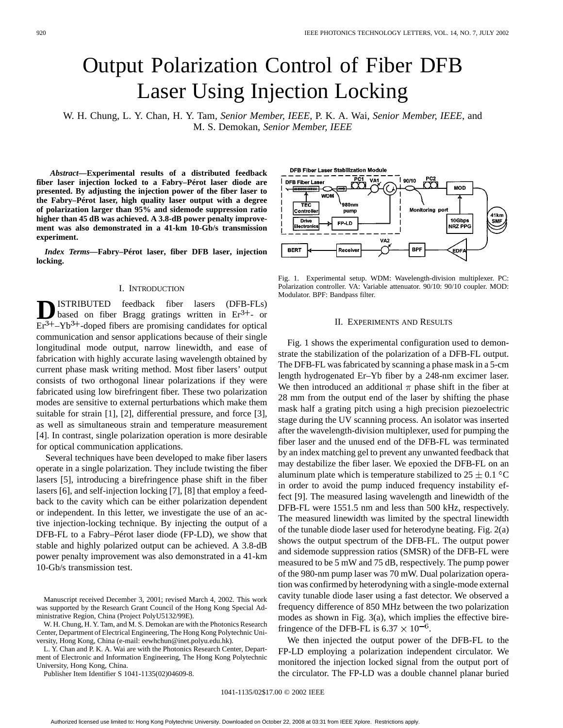# Output Polarization Control of Fiber DFB Laser Using Injection Locking

W. H. Chung, L. Y. Chan, H. Y. Tam*, Senior Member, IEEE*, P. K. A. Wai*, Senior Member, IEEE*, and M. S. Demokan*, Senior Member, IEEE*

*Abstract—***Experimental results of a distributed feedback fiber laser injection locked to a Fabry–Pérot laser diode are presented. By adjusting the injection power of the fiber laser to the Fabry–Pérot laser, high quality laser output with a degree of polarization larger than 95% and sidemode suppression ratio higher than 45 dB was achieved. A 3.8-dB power penalty improvement was also demonstrated in a 41-km 10-Gb/s transmission experiment.**

*Index Terms—***Fabry–Pérot laser, fiber DFB laser, injection locking.**

### I. INTRODUCTION

**D**ISTRIBUTED feedback fiber lasers (DFB-FLs)<br>based on fiber Bragg gratings written in  $Er^{3+}$ - or  $Er<sup>3+</sup> - Yb<sup>3+</sup>$ -doped fibers are promising candidates for optical communication and sensor applications because of their single longitudinal mode output, narrow linewidth, and ease of fabrication with highly accurate lasing wavelength obtained by current phase mask writing method. Most fiber lasers' output consists of two orthogonal linear polarizations if they were fabricated using low birefringent fiber. These two polarization modes are sensitive to external perturbations which make them suitable for strain [1], [2], differential pressure, and force [3], as well as simultaneous strain and temperature measurement [4]. In contrast, single polarization operation is more desirable for optical communication applications.

Several techniques have been developed to make fiber lasers operate in a single polarization. They include twisting the fiber lasers [5], introducing a birefringence phase shift in the fiber lasers [6], and self-injection locking [7], [8] that employ a feedback to the cavity which can be either polarization dependent or independent. In this letter, we investigate the use of an active injection-locking technique. By injecting the output of a DFB-FL to a Fabry–Pérot laser diode (FP-LD), we show that stable and highly polarized output can be achieved. A 3.8-dB power penalty improvement was also demonstrated in a 41-km 10-Gb/s transmission test.

W. H. Chung, H. Y. Tam, and M. S. Demokan are with the Photonics Research Center, Department of Electrical Engineering, The Hong Kong Polytechnic University, Hong Kong, China (e-mail: eewhchun@inet.polyu.edu.hk).

L. Y. Chan and P. K. A. Wai are with the Photonics Research Center, Department of Electronic and Information Engineering, The Hong Kong Polytechnic University, Hong Kong, China.

Publisher Item Identifier S 1041-1135(02)04609-8.

DFB Fiber Laser Stabilization Module ᅙ  $\overline{V}$ A1  $190/10$ **DFB Fiber Lase** MOD **WDM** TEC 980nm Monitoring port Controller pump 41km<br>SMF 10Gbps<br>NRZ PPG Drive FP-LD ectro VA<sub>2</sub> BPI **BERT** Receive EDF.

Fig. 1. Experimental setup. WDM: Wavelength-division multiplexer. PC: Polarization controller. VA: Variable attenuator. 90/10: 90/10 coupler. MOD: Modulator. BPF: Bandpass filter.

### II. EXPERIMENTS AND RESULTS

Fig. 1 shows the experimental configuration used to demonstrate the stabilization of the polarization of a DFB-FL output. The DFB-FL was fabricated by scanning a phase mask in a 5-cm length hydrogenated Er–Yb fiber by a 248-nm excimer laser. We then introduced an additional  $\pi$  phase shift in the fiber at 28 mm from the output end of the laser by shifting the phase mask half a grating pitch using a high precision piezoelectric stage during the UV scanning process. An isolator was inserted after the wavelength-division multiplexer, used for pumping the fiber laser and the unused end of the DFB-FL was terminated by an index matching gel to prevent any unwanted feedback that may destabilize the fiber laser. We epoxied the DFB-FL on an aluminum plate which is temperature stabilized to  $25 \pm 0.1$  °C in order to avoid the pump induced frequency instability effect [9]. The measured lasing wavelength and linewidth of the DFB-FL were 1551.5 nm and less than 500 kHz, respectively. The measured linewidth was limited by the spectral linewidth of the tunable diode laser used for heterodyne beating. Fig. 2(a) shows the output spectrum of the DFB-FL. The output power and sidemode suppression ratios (SMSR) of the DFB-FL were measured to be 5 mW and 75 dB, respectively. The pump power of the 980-nm pump laser was 70 mW. Dual polarization operation was confirmed by heterodyning with a single-mode external cavity tunable diode laser using a fast detector. We observed a frequency difference of 850 MHz between the two polarization modes as shown in Fig. 3(a), which implies the effective birefringence of the DFB-FL is 6.37  $\times$  10<sup>-6</sup>.

We then injected the output power of the DFB-FL to the FP-LD employing a polarization independent circulator. We monitored the injection locked signal from the output port of the circulator. The FP-LD was a double channel planar buried

1041-1135/02\$17.00 © 2002 IEEE

Manuscript received December 3, 2001; revised March 4, 2002. This work was supported by the Research Grant Council of the Hong Kong Special Administrative Region, China (Project PolyU5132/99E).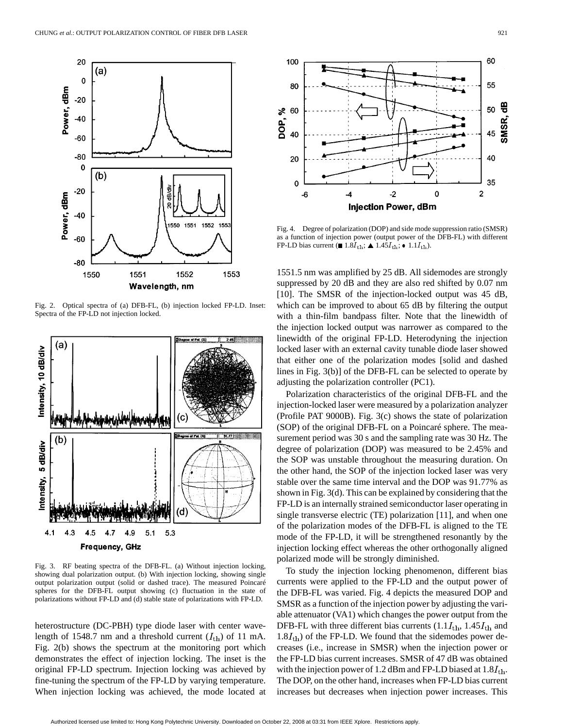

Fig. 2. Optical spectra of (a) DFB-FL, (b) injection locked FP-LD. Inset: Spectra of the FP-LD not injection locked.



Fig. 3. RF beating spectra of the DFB-FL. (a) Without injection locking, showing dual polarization output. (b) With injection locking, showing single output polarization output (solid or dashed trace). The measured Poincaré spheres for the DFB-FL output showing (c) fluctuation in the state of polarizations without FP-LD and (d) stable state of polarizations with FP-LD.

heterostructure (DC-PBH) type diode laser with center wavelength of 1548.7 nm and a threshold current  $(I_{\text{th}})$  of 11 mA. Fig. 2(b) shows the spectrum at the monitoring port which demonstrates the effect of injection locking. The inset is the original FP-LD spectrum. Injection locking was achieved by fine-tuning the spectrum of the FP-LD by varying temperature. When injection locking was achieved, the mode located at



Fig. 4. Degree of polarization (DOP) and side mode suppression ratio (SMSR) as a function of injection power (output power of the DFB-FL) with different FP-LD bias current ( $\blacksquare$  1.8 $I_{\text{th}}$ ;  $\blacktriangle$  1.45 $I_{\text{th}}$ ;  $\blacktriangle$  1.1 $I_{\text{th}}$ ).

1551.5 nm was amplified by 25 dB. All sidemodes are strongly suppressed by 20 dB and they are also red shifted by 0.07 nm [10]. The SMSR of the injection-locked output was 45 dB, which can be improved to about 65 dB by filtering the output with a thin-film bandpass filter. Note that the linewidth of the injection locked output was narrower as compared to the linewidth of the original FP-LD. Heterodyning the injection locked laser with an external cavity tunable diode laser showed that either one of the polarization modes [solid and dashed lines in Fig. 3(b)] of the DFB-FL can be selected to operate by adjusting the polarization controller (PC1).

Polarization characteristics of the original DFB-FL and the injection-locked laser were measured by a polarization analyzer (Profile PAT 9000B). Fig. 3(c) shows the state of polarization (SOP) of the original DFB-FL on a Poincaré sphere. The measurement period was 30 s and the sampling rate was 30 Hz. The degree of polarization (DOP) was measured to be 2.45% and the SOP was unstable throughout the measuring duration. On the other hand, the SOP of the injection locked laser was very stable over the same time interval and the DOP was 91.77% as shown in Fig. 3(d). This can be explained by considering that the FP-LD is an internally strained semiconductor laser operating in single transverse electric (TE) polarization [11], and when one of the polarization modes of the DFB-FL is aligned to the TE mode of the FP-LD, it will be strengthened resonantly by the injection locking effect whereas the other orthogonally aligned polarized mode will be strongly diminished.

To study the injection locking phenomenon, different bias currents were applied to the FP-LD and the output power of the DFB-FL was varied. Fig. 4 depicts the measured DOP and SMSR as a function of the injection power by adjusting the variable attenuator (VA1) which changes the power output from the DFB-FL with three different bias currents  $(1.1I_{\rm th}, 1.45I_{\rm th}$  and  $1.8 I_{\text{th}}$ ) of the FP-LD. We found that the sidemodes power decreases (i.e., increase in SMSR) when the injection power or the FP-LD bias current increases. SMSR of 47 dB was obtained with the injection power of 1.2 dBm and FP-LD biased at  $1.8 I_{\text{th}}$ . The DOP, on the other hand, increases when FP-LD bias current increases but decreases when injection power increases. This